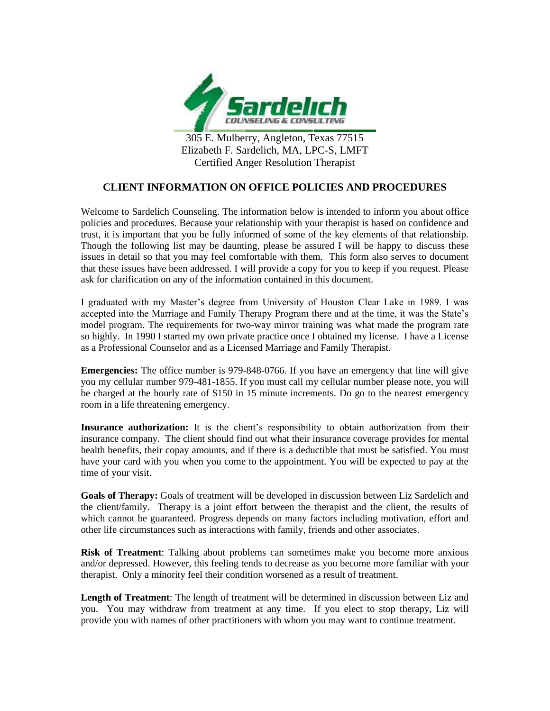

305 E. Mulberry, Angleton, Texas 77515 Elizabeth F. Sardelich, MA, LPC-S, LMFT Certified Anger Resolution Therapist

## **CLIENT INFORMATION ON OFFICE POLICIES AND PROCEDURES**

Welcome to Sardelich Counseling. The information below is intended to inform you about office policies and procedures. Because your relationship with your therapist is based on confidence and trust, it is important that you be fully informed of some of the key elements of that relationship. Though the following list may be daunting, please be assured I will be happy to discuss these issues in detail so that you may feel comfortable with them. This form also serves to document that these issues have been addressed. I will provide a copy for you to keep if you request. Please ask for clarification on any of the information contained in this document.

I graduated with my Master's degree from University of Houston Clear Lake in 1989. I was accepted into the Marriage and Family Therapy Program there and at the time, it was the State's model program. The requirements for two-way mirror training was what made the program rate so highly. In 1990 I started my own private practice once I obtained my license. I have a License as a Professional Counselor and as a Licensed Marriage and Family Therapist.

**Emergencies:** The office number is 979-848-0766. If you have an emergency that line will give you my cellular number 979-481-1855. If you must call my cellular number please note, you will be charged at the hourly rate of \$150 in 15 minute increments. Do go to the nearest emergency room in a life threatening emergency.

**Insurance authorization:** It is the client's responsibility to obtain authorization from their insurance company. The client should find out what their insurance coverage provides for mental health benefits, their copay amounts, and if there is a deductible that must be satisfied. You must have your card with you when you come to the appointment. You will be expected to pay at the time of your visit.

**Goals of Therapy:** Goals of treatment will be developed in discussion between Liz Sardelich and the client/family. Therapy is a joint effort between the therapist and the client, the results of which cannot be guaranteed. Progress depends on many factors including motivation, effort and other life circumstances such as interactions with family, friends and other associates.

**Risk of Treatment**: Talking about problems can sometimes make you become more anxious and/or depressed. However, this feeling tends to decrease as you become more familiar with your therapist. Only a minority feel their condition worsened as a result of treatment.

**Length of Treatment**: The length of treatment will be determined in discussion between Liz and you. You may withdraw from treatment at any time. If you elect to stop therapy, Liz will provide you with names of other practitioners with whom you may want to continue treatment.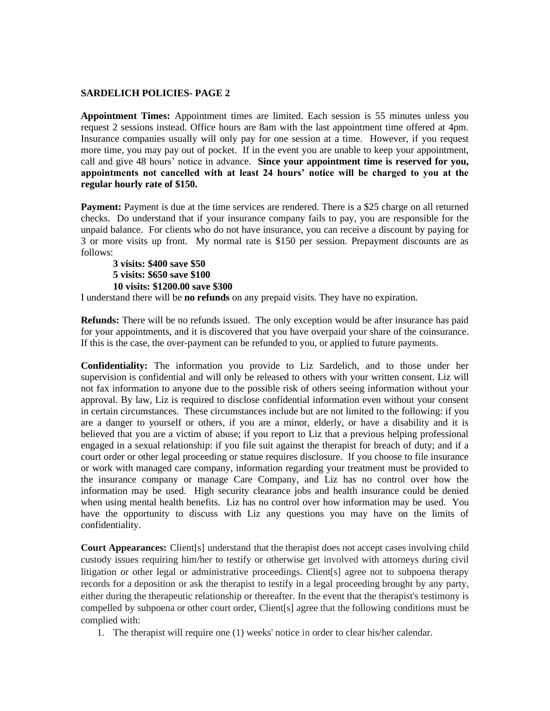## **SARDELICH POLICIES- PAGE 2**

**Appointment Times:** Appointment times are limited. Each session is 55 minutes unless you request 2 sessions instead. Office hours are 8am with the last appointment time offered at 4pm. Insurance companies usually will only pay for one session at a time. However, if you request more time, you may pay out of pocket. If in the event you are unable to keep your appointment, call and give 48 hours' notice in advance. **Since your appointment time is reserved for you, appointments not cancelled with at least 24 hours' notice will be charged to you at the regular hourly rate of \$150.** 

Payment: Payment is due at the time services are rendered. There is a \$25 charge on all returned checks. Do understand that if your insurance company fails to pay, you are responsible for the unpaid balance. For clients who do not have insurance, you can receive a discount by paying for 3 or more visits up front. My normal rate is \$150 per session. Prepayment discounts are as follows:

**3 visits: \$400 save \$50 5 visits: \$650 save \$100 10 visits: \$1200.00 save \$300**

I understand there will be **no refunds** on any prepaid visits. They have no expiration.

**Refunds:** There will be no refunds issued. The only exception would be after insurance has paid for your appointments, and it is discovered that you have overpaid your share of the coinsurance. If this is the case, the over-payment can be refunded to you, or applied to future payments.

**Confidentiality:** The information you provide to Liz Sardelich, and to those under her supervision is confidential and will only be released to others with your written consent. Liz will not fax information to anyone due to the possible risk of others seeing information without your approval. By law, Liz is required to disclose confidential information even without your consent in certain circumstances. These circumstances include but are not limited to the following: if you are a danger to yourself or others, if you are a minor, elderly, or have a disability and it is believed that you are a victim of abuse; if you report to Liz that a previous helping professional engaged in a sexual relationship: if you file suit against the therapist for breach of duty; and if a court order or other legal proceeding or statue requires disclosure. If you choose to file insurance or work with managed care company, information regarding your treatment must be provided to the insurance company or manage Care Company, and Liz has no control over how the information may be used. High security clearance jobs and health insurance could be denied when using mental health benefits. Liz has no control over how information may be used. You have the opportunity to discuss with Liz any questions you may have on the limits of confidentiality.

**Court Appearances:** Client[s] understand that the therapist does not accept cases involving child custody issues requiring him/her to testify or otherwise get involved with attorneys during civil litigation or other legal or administrative proceedings. Client[s] agree not to subpoena therapy records for a deposition or ask the therapist to testify in a legal proceeding brought by any party, either during the therapeutic relationship or thereafter. In the event that the therapist's testimony is compelled by subpoena or other court order, Client[s] agree that the following conditions must be complied with:

1. The therapist will require one (1) weeks' notice in order to clear his/her calendar.